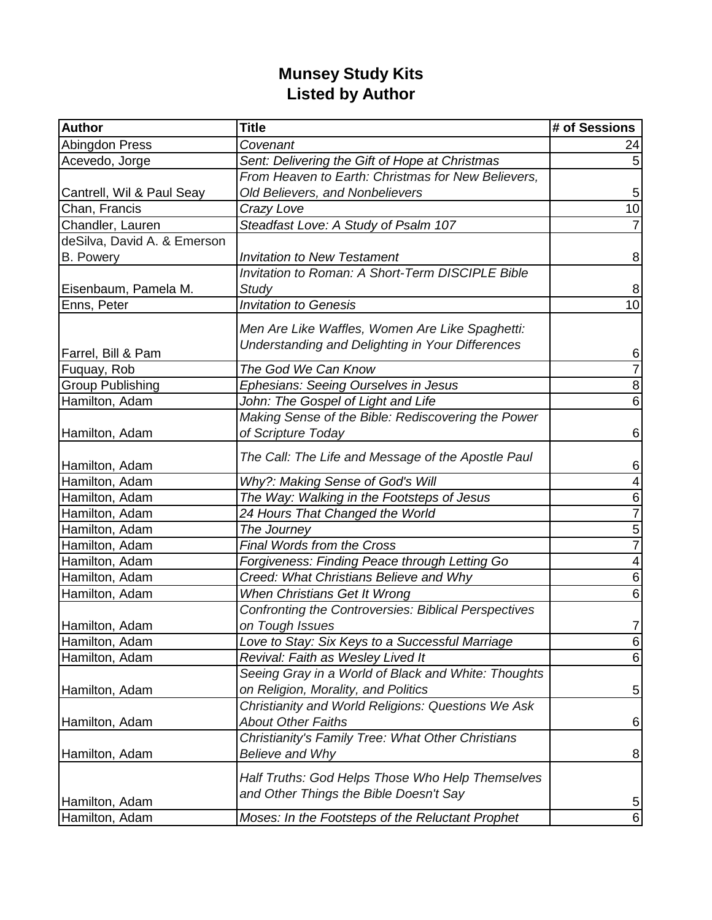## **Munsey Study Kits Listed by Author**

| Author                      | <b>Title</b>                                                                                        | # of Sessions  |
|-----------------------------|-----------------------------------------------------------------------------------------------------|----------------|
| Abingdon Press              | Covenant                                                                                            | 24             |
| Acevedo, Jorge              | Sent: Delivering the Gift of Hope at Christmas                                                      |                |
|                             | From Heaven to Earth: Christmas for New Believers,                                                  |                |
| Cantrell, Wil & Paul Seay   | Old Believers, and Nonbelievers                                                                     | 5              |
| Chan, Francis               | Crazy Love                                                                                          | 10             |
| Chandler, Lauren            | Steadfast Love: A Study of Psalm 107                                                                |                |
| deSilva, David A. & Emerson |                                                                                                     |                |
| <b>B.</b> Powery            | <b>Invitation to New Testament</b>                                                                  | 8              |
|                             | <b>Invitation to Roman: A Short-Term DISCIPLE Bible</b>                                             |                |
| Eisenbaum, Pamela M.        | <b>Study</b>                                                                                        | 8              |
| Enns, Peter                 | <b>Invitation to Genesis</b>                                                                        | 10             |
| Farrel, Bill & Pam          | Men Are Like Waffles, Women Are Like Spaghetti:<br>Understanding and Delighting in Your Differences | 6              |
| Fuquay, Rob                 | The God We Can Know                                                                                 | $\overline{7}$ |
| <b>Group Publishing</b>     | Ephesians: Seeing Ourselves in Jesus                                                                | 8              |
| Hamilton, Adam              | John: The Gospel of Light and Life                                                                  | 6              |
|                             | Making Sense of the Bible: Rediscovering the Power                                                  |                |
| Hamilton, Adam              | of Scripture Today                                                                                  | 6              |
| Hamilton, Adam              | The Call: The Life and Message of the Apostle Paul                                                  | 6              |
| Hamilton, Adam              | Why?: Making Sense of God's Will                                                                    | 4              |
| Hamilton, Adam              | The Way: Walking in the Footsteps of Jesus                                                          | 6              |
| Hamilton, Adam              | 24 Hours That Changed the World                                                                     | $\overline{7}$ |
| Hamilton, Adam              | The Journey                                                                                         | 5              |
| Hamilton, Adam              | <b>Final Words from the Cross</b>                                                                   | $\overline{7}$ |
| Hamilton, Adam              | Forgiveness: Finding Peace through Letting Go                                                       | 4              |
| Hamilton, Adam              | Creed: What Christians Believe and Why                                                              | 6              |
| Hamilton, Adam              | When Christians Get It Wrong                                                                        | 6              |
|                             | <b>Confronting the Controversies: Biblical Perspectives</b>                                         |                |
| Hamilton, Adam              | on Tough Issues                                                                                     | 7              |
| Hamilton, Adam              | Love to Stay: Six Keys to a Successful Marriage                                                     | 6              |
| Hamilton, Adam              | Revival: Faith as Wesley Lived It                                                                   | $\overline{6}$ |
|                             | Seeing Gray in a World of Black and White: Thoughts                                                 |                |
| Hamilton, Adam              | on Religion, Morality, and Politics                                                                 | $\overline{5}$ |
|                             | Christianity and World Religions: Questions We Ask                                                  |                |
| Hamilton, Adam              | <b>About Other Faiths</b>                                                                           | 6              |
|                             | Christianity's Family Tree: What Other Christians                                                   |                |
| Hamilton, Adam              | Believe and Why                                                                                     | 8              |
|                             |                                                                                                     |                |
|                             | Half Truths: God Helps Those Who Help Themselves                                                    |                |
| Hamilton, Adam              | and Other Things the Bible Doesn't Say                                                              | $\overline{5}$ |
| Hamilton, Adam              | Moses: In the Footsteps of the Reluctant Prophet                                                    | $\,6$          |